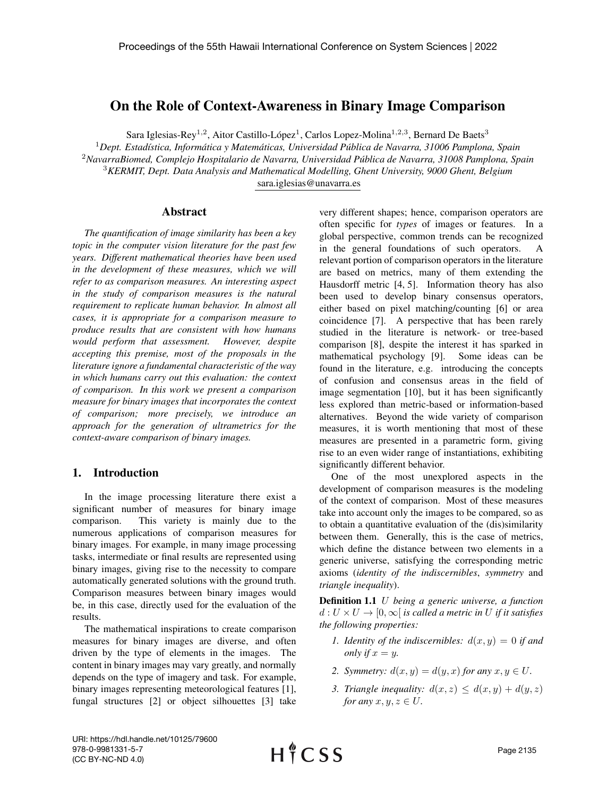# On the Role of Context-Awareness in Binary Image Comparison

Sara Iglesias-Rey<sup>1,2</sup>, Aitor Castillo-López<sup>1</sup>, Carlos Lopez-Molina<sup>1,2,3</sup>, Bernard De Baets<sup>3</sup>

*Dept. Estad´ıstica, Informatica y Matem ´ aticas, Universidad P ´ ublica de Navarra, 31006 Pamplona, Spain ´ NavarraBiomed, Complejo Hospitalario de Navarra, Universidad Publica de Navarra, 31008 Pamplona, Spain ´ KERMIT, Dept. Data Analysis and Mathematical Modelling, Ghent University, 9000 Ghent, Belgium* sara.iglesias@unavarra.es

#### Abstract

*The quantification of image similarity has been a key topic in the computer vision literature for the past few years. Different mathematical theories have been used in the development of these measures, which we will refer to as comparison measures. An interesting aspect in the study of comparison measures is the natural requirement to replicate human behavior. In almost all cases, it is appropriate for a comparison measure to produce results that are consistent with how humans would perform that assessment. However, despite accepting this premise, most of the proposals in the literature ignore a fundamental characteristic of the way in which humans carry out this evaluation: the context of comparison. In this work we present a comparison measure for binary images that incorporates the context of comparison; more precisely, we introduce an approach for the generation of ultrametrics for the context-aware comparison of binary images.*

### 1. Introduction

In the image processing literature there exist a significant number of measures for binary image comparison. This variety is mainly due to the numerous applications of comparison measures for binary images. For example, in many image processing tasks, intermediate or final results are represented using binary images, giving rise to the necessity to compare automatically generated solutions with the ground truth. Comparison measures between binary images would be, in this case, directly used for the evaluation of the results.

The mathematical inspirations to create comparison measures for binary images are diverse, and often driven by the type of elements in the images. The content in binary images may vary greatly, and normally depends on the type of imagery and task. For example, binary images representing meteorological features [1], fungal structures [2] or object silhouettes [3] take very different shapes; hence, comparison operators are often specific for *types* of images or features. In a global perspective, common trends can be recognized in the general foundations of such operators. A relevant portion of comparison operators in the literature are based on metrics, many of them extending the Hausdorff metric [4, 5]. Information theory has also been used to develop binary consensus operators, either based on pixel matching/counting [6] or area coincidence [7]. A perspective that has been rarely studied in the literature is network- or tree-based comparison [8], despite the interest it has sparked in mathematical psychology [9]. Some ideas can be found in the literature, e.g. introducing the concepts of confusion and consensus areas in the field of image segmentation [10], but it has been significantly less explored than metric-based or information-based alternatives. Beyond the wide variety of comparison measures, it is worth mentioning that most of these measures are presented in a parametric form, giving rise to an even wider range of instantiations, exhibiting significantly different behavior.

One of the most unexplored aspects in the development of comparison measures is the modeling of the context of comparison. Most of these measures take into account only the images to be compared, so as to obtain a quantitative evaluation of the (dis)similarity between them. Generally, this is the case of metrics, which define the distance between two elements in a generic universe, satisfying the corresponding metric axioms (*identity of the indiscernibles*, *symmetry* and *triangle inequality*).

Definition 1.1 U *being a generic universe, a function*  $d: U \times U \rightarrow [0, \infty]$  *is called a metric in* U *if it satisfies the following properties:*

- *1. Identity of the indiscernibles:*  $d(x, y) = 0$  *if and only if*  $x = y$ .
- 2. *Symmetry:*  $d(x, y) = d(y, x)$  *for any*  $x, y \in U$ .
- *3. Triangle inequality:*  $d(x, z) \leq d(x, y) + d(y, z)$ *for any*  $x, y, z \in U$ .

URI: https://hdl.handle.net/10125/79600 978-0-9981331-5-7 (CC BY-NC-ND 4.0)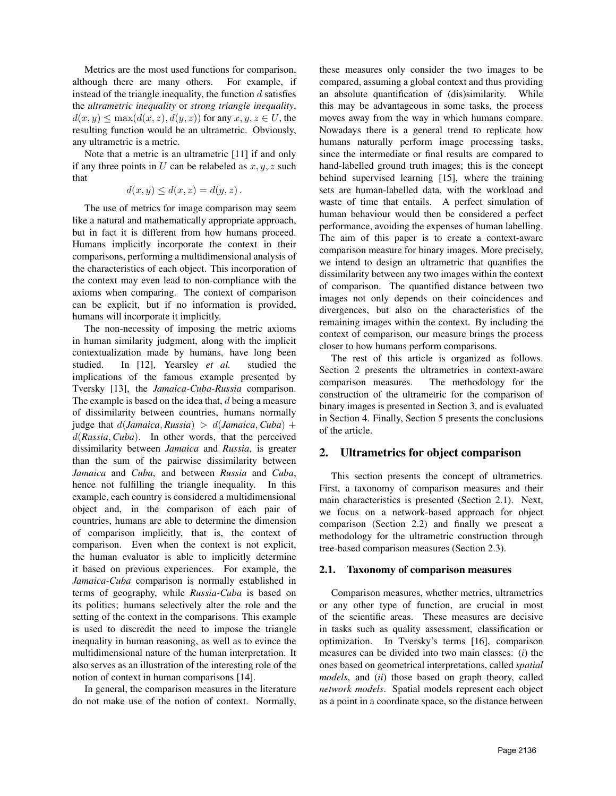Metrics are the most used functions for comparison, although there are many others. For example, if instead of the triangle inequality, the function  $d$  satisfies the *ultrametric inequality* or *strong triangle inequality*,  $d(x, y) \leq \max(d(x, z), d(y, z))$  for any  $x, y, z \in U$ , the resulting function would be an ultrametric. Obviously, any ultrametric is a metric.

Note that a metric is an ultrametric [11] if and only if any three points in  $U$  can be relabeled as  $x, y, z$  such that

$$
d(x, y) \le d(x, z) = d(y, z).
$$

The use of metrics for image comparison may seem like a natural and mathematically appropriate approach, but in fact it is different from how humans proceed. Humans implicitly incorporate the context in their comparisons, performing a multidimensional analysis of the characteristics of each object. This incorporation of the context may even lead to non-compliance with the axioms when comparing. The context of comparison can be explicit, but if no information is provided, humans will incorporate it implicitly.

The non-necessity of imposing the metric axioms in human similarity judgment, along with the implicit contextualization made by humans, have long been studied. In [12], Yearsley *et al.* studied the implications of the famous example presented by Tversky [13], the *Jamaica-Cuba-Russia* comparison. The example is based on the idea that, d being a measure of dissimilarity between countries, humans normally judge that  $d(Jamaica, Russia) > d(Jamaica, Cuba) +$ d(*Russia*, *Cuba*). In other words, that the perceived dissimilarity between *Jamaica* and *Russia*, is greater than the sum of the pairwise dissimilarity between *Jamaica* and *Cuba*, and between *Russia* and *Cuba*, hence not fulfilling the triangle inequality. In this example, each country is considered a multidimensional object and, in the comparison of each pair of countries, humans are able to determine the dimension of comparison implicitly, that is, the context of comparison. Even when the context is not explicit, the human evaluator is able to implicitly determine it based on previous experiences. For example, the *Jamaica-Cuba* comparison is normally established in terms of geography, while *Russia-Cuba* is based on its politics; humans selectively alter the role and the setting of the context in the comparisons. This example is used to discredit the need to impose the triangle inequality in human reasoning, as well as to evince the multidimensional nature of the human interpretation. It also serves as an illustration of the interesting role of the notion of context in human comparisons [14].

In general, the comparison measures in the literature do not make use of the notion of context. Normally,

these measures only consider the two images to be compared, assuming a global context and thus providing an absolute quantification of (dis)similarity. While this may be advantageous in some tasks, the process moves away from the way in which humans compare. Nowadays there is a general trend to replicate how humans naturally perform image processing tasks, since the intermediate or final results are compared to hand-labelled ground truth images; this is the concept behind supervised learning [15], where the training sets are human-labelled data, with the workload and waste of time that entails. A perfect simulation of human behaviour would then be considered a perfect performance, avoiding the expenses of human labelling. The aim of this paper is to create a context-aware comparison measure for binary images. More precisely, we intend to design an ultrametric that quantifies the dissimilarity between any two images within the context of comparison. The quantified distance between two images not only depends on their coincidences and divergences, but also on the characteristics of the remaining images within the context. By including the context of comparison, our measure brings the process closer to how humans perform comparisons.

The rest of this article is organized as follows. Section 2 presents the ultrametrics in context-aware comparison measures. The methodology for the construction of the ultrametric for the comparison of binary images is presented in Section 3, and is evaluated in Section 4. Finally, Section 5 presents the conclusions of the article.

## 2. Ultrametrics for object comparison

This section presents the concept of ultrametrics. First, a taxonomy of comparison measures and their main characteristics is presented (Section 2.1). Next, we focus on a network-based approach for object comparison (Section 2.2) and finally we present a methodology for the ultrametric construction through tree-based comparison measures (Section 2.3).

## 2.1. Taxonomy of comparison measures

Comparison measures, whether metrics, ultrametrics or any other type of function, are crucial in most of the scientific areas. These measures are decisive in tasks such as quality assessment, classification or optimization. In Tversky's terms [16], comparison measures can be divided into two main classes: (*i*) the ones based on geometrical interpretations, called *spatial models*, and (*ii*) those based on graph theory, called *network models*. Spatial models represent each object as a point in a coordinate space, so the distance between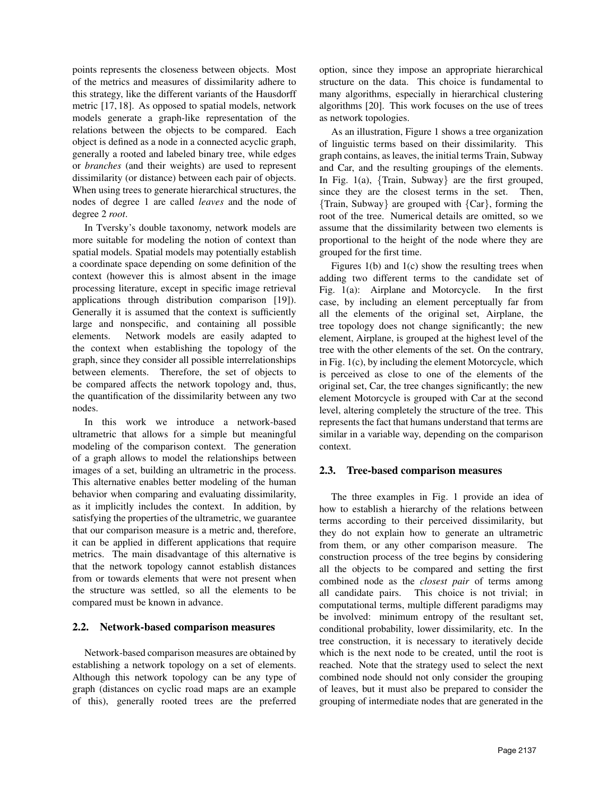points represents the closeness between objects. Most of the metrics and measures of dissimilarity adhere to this strategy, like the different variants of the Hausdorff metric [17, 18]. As opposed to spatial models, network models generate a graph-like representation of the relations between the objects to be compared. Each object is defined as a node in a connected acyclic graph, generally a rooted and labeled binary tree, while edges or *branches* (and their weights) are used to represent dissimilarity (or distance) between each pair of objects. When using trees to generate hierarchical structures, the nodes of degree 1 are called *leaves* and the node of degree 2 *root*.

In Tversky's double taxonomy, network models are more suitable for modeling the notion of context than spatial models. Spatial models may potentially establish a coordinate space depending on some definition of the context (however this is almost absent in the image processing literature, except in specific image retrieval applications through distribution comparison [19]). Generally it is assumed that the context is sufficiently large and nonspecific, and containing all possible elements. Network models are easily adapted to the context when establishing the topology of the graph, since they consider all possible interrelationships between elements. Therefore, the set of objects to be compared affects the network topology and, thus, the quantification of the dissimilarity between any two nodes.

In this work we introduce a network-based ultrametric that allows for a simple but meaningful modeling of the comparison context. The generation of a graph allows to model the relationships between images of a set, building an ultrametric in the process. This alternative enables better modeling of the human behavior when comparing and evaluating dissimilarity, as it implicitly includes the context. In addition, by satisfying the properties of the ultrametric, we guarantee that our comparison measure is a metric and, therefore, it can be applied in different applications that require metrics. The main disadvantage of this alternative is that the network topology cannot establish distances from or towards elements that were not present when the structure was settled, so all the elements to be compared must be known in advance.

### 2.2. Network-based comparison measures

Network-based comparison measures are obtained by establishing a network topology on a set of elements. Although this network topology can be any type of graph (distances on cyclic road maps are an example of this), generally rooted trees are the preferred option, since they impose an appropriate hierarchical structure on the data. This choice is fundamental to many algorithms, especially in hierarchical clustering algorithms [20]. This work focuses on the use of trees as network topologies.

As an illustration, Figure 1 shows a tree organization of linguistic terms based on their dissimilarity. This graph contains, as leaves, the initial terms Train, Subway and Car, and the resulting groupings of the elements. In Fig. 1(a),  $\{Train, Subway\}$  are the first grouped, since they are the closest terms in the set. Then, {Train, Subway} are grouped with {Car}, forming the root of the tree. Numerical details are omitted, so we assume that the dissimilarity between two elements is proportional to the height of the node where they are grouped for the first time.

Figures  $1(b)$  and  $1(c)$  show the resulting trees when adding two different terms to the candidate set of Fig. 1(a): Airplane and Motorcycle. In the first case, by including an element perceptually far from all the elements of the original set, Airplane, the tree topology does not change significantly; the new element, Airplane, is grouped at the highest level of the tree with the other elements of the set. On the contrary, in Fig. 1(c), by including the element Motorcycle, which is perceived as close to one of the elements of the original set, Car, the tree changes significantly; the new element Motorcycle is grouped with Car at the second level, altering completely the structure of the tree. This represents the fact that humans understand that terms are similar in a variable way, depending on the comparison context.

#### 2.3. Tree-based comparison measures

The three examples in Fig. 1 provide an idea of how to establish a hierarchy of the relations between terms according to their perceived dissimilarity, but they do not explain how to generate an ultrametric from them, or any other comparison measure. The construction process of the tree begins by considering all the objects to be compared and setting the first combined node as the *closest pair* of terms among all candidate pairs. This choice is not trivial; in computational terms, multiple different paradigms may be involved: minimum entropy of the resultant set, conditional probability, lower dissimilarity, etc. In the tree construction, it is necessary to iteratively decide which is the next node to be created, until the root is reached. Note that the strategy used to select the next combined node should not only consider the grouping of leaves, but it must also be prepared to consider the grouping of intermediate nodes that are generated in the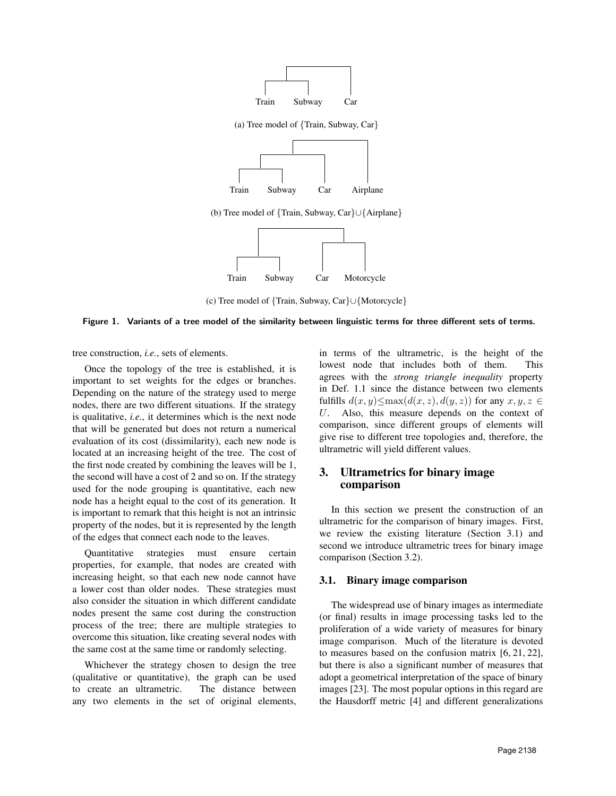

(b) Tree model of {Train, Subway, Car}∪{Airplane}



(c) Tree model of {Train, Subway, Car}∪{Motorcycle}

#### Figure 1. Variants of a tree model of the similarity between linguistic terms for three different sets of terms.

tree construction, *i.e.*, sets of elements.

Once the topology of the tree is established, it is important to set weights for the edges or branches. Depending on the nature of the strategy used to merge nodes, there are two different situations. If the strategy is qualitative, *i.e.*, it determines which is the next node that will be generated but does not return a numerical evaluation of its cost (dissimilarity), each new node is located at an increasing height of the tree. The cost of the first node created by combining the leaves will be 1, the second will have a cost of 2 and so on. If the strategy used for the node grouping is quantitative, each new node has a height equal to the cost of its generation. It is important to remark that this height is not an intrinsic property of the nodes, but it is represented by the length of the edges that connect each node to the leaves.

Quantitative strategies must ensure certain properties, for example, that nodes are created with increasing height, so that each new node cannot have a lower cost than older nodes. These strategies must also consider the situation in which different candidate nodes present the same cost during the construction process of the tree; there are multiple strategies to overcome this situation, like creating several nodes with the same cost at the same time or randomly selecting.

Whichever the strategy chosen to design the tree (qualitative or quantitative), the graph can be used to create an ultrametric. The distance between any two elements in the set of original elements,

in terms of the ultrametric, is the height of the lowest node that includes both of them. This agrees with the *strong triangle inequality* property in Def. 1.1 since the distance between two elements fulfills  $d(x, y) \leq \max(d(x, z), d(y, z))$  for any  $x, y, z \in$ U. Also, this measure depends on the context of comparison, since different groups of elements will give rise to different tree topologies and, therefore, the ultrametric will yield different values.

## 3. Ultrametrics for binary image comparison

In this section we present the construction of an ultrametric for the comparison of binary images. First, we review the existing literature (Section 3.1) and second we introduce ultrametric trees for binary image comparison (Section 3.2).

#### 3.1. Binary image comparison

The widespread use of binary images as intermediate (or final) results in image processing tasks led to the proliferation of a wide variety of measures for binary image comparison. Much of the literature is devoted to measures based on the confusion matrix [6, 21, 22], but there is also a significant number of measures that adopt a geometrical interpretation of the space of binary images [23]. The most popular options in this regard are the Hausdorff metric [4] and different generalizations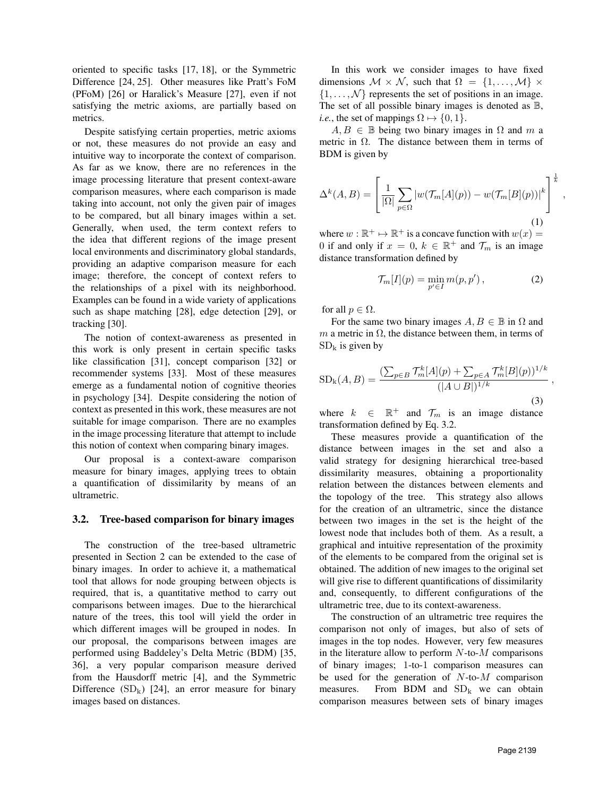oriented to specific tasks [17, 18], or the Symmetric Difference [24, 25]. Other measures like Pratt's FoM (PFoM) [26] or Haralick's Measure [27], even if not satisfying the metric axioms, are partially based on metrics.

Despite satisfying certain properties, metric axioms or not, these measures do not provide an easy and intuitive way to incorporate the context of comparison. As far as we know, there are no references in the image processing literature that present context-aware comparison measures, where each comparison is made taking into account, not only the given pair of images to be compared, but all binary images within a set. Generally, when used, the term context refers to the idea that different regions of the image present local environments and discriminatory global standards, providing an adaptive comparison measure for each image; therefore, the concept of context refers to the relationships of a pixel with its neighborhood. Examples can be found in a wide variety of applications such as shape matching [28], edge detection [29], or tracking [30].

The notion of context-awareness as presented in this work is only present in certain specific tasks like classification [31], concept comparison [32] or recommender systems [33]. Most of these measures emerge as a fundamental notion of cognitive theories in psychology [34]. Despite considering the notion of context as presented in this work, these measures are not suitable for image comparison. There are no examples in the image processing literature that attempt to include this notion of context when comparing binary images.

Our proposal is a context-aware comparison measure for binary images, applying trees to obtain a quantification of dissimilarity by means of an ultrametric.

#### 3.2. Tree-based comparison for binary images

The construction of the tree-based ultrametric presented in Section 2 can be extended to the case of binary images. In order to achieve it, a mathematical tool that allows for node grouping between objects is required, that is, a quantitative method to carry out comparisons between images. Due to the hierarchical nature of the trees, this tool will yield the order in which different images will be grouped in nodes. In our proposal, the comparisons between images are performed using Baddeley's Delta Metric (BDM) [35, 36], a very popular comparison measure derived from the Hausdorff metric [4], and the Symmetric Difference  $(SD_k)$  [24], an error measure for binary images based on distances.

In this work we consider images to have fixed dimensions  $M \times N$ , such that  $\Omega = \{1, \ldots, M\} \times$  $\{1, \ldots, \mathcal{N}\}\)$  represents the set of positions in an image. The set of all possible binary images is denoted as  $\mathbb{B}$ , *i.e.*, the set of mappings  $\Omega \mapsto \{0, 1\}$ .

 $A, B \in \mathbb{B}$  being two binary images in  $\Omega$  and m a metric in  $\Omega$ . The distance between them in terms of BDM is given by

$$
\Delta^{k}(A,B) = \left[\frac{1}{|\Omega|} \sum_{p \in \Omega} |w(\mathcal{T}_m[A](p)) - w(\mathcal{T}_m[B](p))|^k \right]^{\frac{1}{k}}
$$
\n(1)

where  $w : \mathbb{R}^+ \mapsto \mathbb{R}^+$  is a concave function with  $w(x) =$ 0 if and only if  $x = 0$ ,  $k \in \mathbb{R}^+$  and  $\mathcal{T}_m$  is an image distance transformation defined by

$$
\mathcal{T}_m[I](p) = \min_{p' \in I} m(p, p'),\tag{2}
$$

,

for all  $p \in \Omega$ .

For the same two binary images  $A, B \in \mathbb{B}$  in  $\Omega$  and m a metric in  $\Omega$ , the distance between them, in terms of  $SD<sub>k</sub>$  is given by

$$
SD_{k}(A, B) = \frac{\left(\sum_{p \in B} \mathcal{T}_{m}^{k}[A](p) + \sum_{p \in A} \mathcal{T}_{m}^{k}[B](p)\right)^{1/k}}{(|A \cup B|)^{1/k}},
$$
\n(3)

where  $k \in \mathbb{R}^+$  and  $\mathcal{T}_m$  is an image distance transformation defined by Eq. 3.2.

These measures provide a quantification of the distance between images in the set and also a valid strategy for designing hierarchical tree-based dissimilarity measures, obtaining a proportionality relation between the distances between elements and the topology of the tree. This strategy also allows for the creation of an ultrametric, since the distance between two images in the set is the height of the lowest node that includes both of them. As a result, a graphical and intuitive representation of the proximity of the elements to be compared from the original set is obtained. The addition of new images to the original set will give rise to different quantifications of dissimilarity and, consequently, to different configurations of the ultrametric tree, due to its context-awareness.

The construction of an ultrametric tree requires the comparison not only of images, but also of sets of images in the top nodes. However, very few measures in the literature allow to perform  $N$ -to- $M$  comparisons of binary images; 1-to-1 comparison measures can be used for the generation of  $N$ -to- $M$  comparison measures. From BDM and  $SD_k$  we can obtain comparison measures between sets of binary images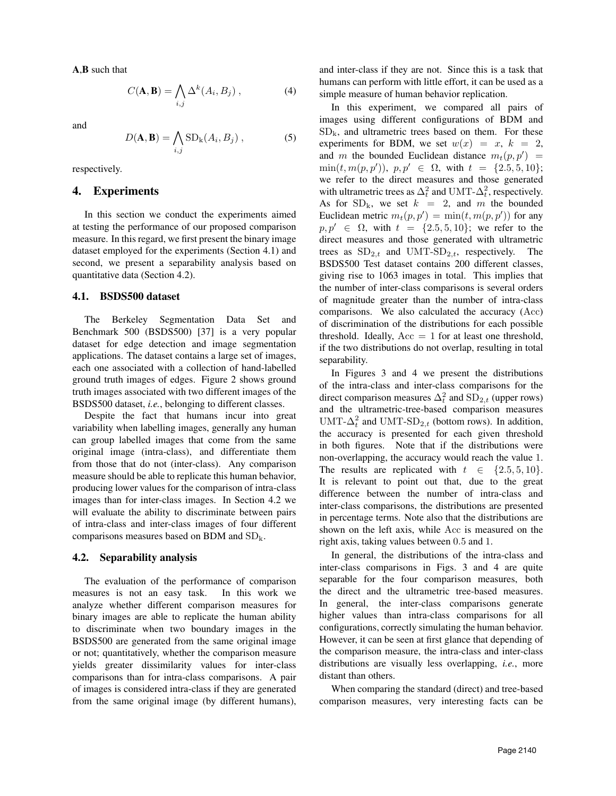A,B such that

$$
C(\mathbf{A}, \mathbf{B}) = \bigwedge_{i,j} \Delta^k(A_i, B_j) , \qquad (4)
$$

and

$$
D(\mathbf{A}, \mathbf{B}) = \bigwedge_{i,j} \text{SD}_{k}(A_{i}, B_{j}), \qquad (5)
$$

respectively.

#### 4. Experiments

In this section we conduct the experiments aimed at testing the performance of our proposed comparison measure. In this regard, we first present the binary image dataset employed for the experiments (Section 4.1) and second, we present a separability analysis based on quantitative data (Section 4.2).

#### 4.1. BSDS500 dataset

The Berkeley Segmentation Data Set and Benchmark 500 (BSDS500) [37] is a very popular dataset for edge detection and image segmentation applications. The dataset contains a large set of images, each one associated with a collection of hand-labelled ground truth images of edges. Figure 2 shows ground truth images associated with two different images of the BSDS500 dataset, *i.e.*, belonging to different classes.

Despite the fact that humans incur into great variability when labelling images, generally any human can group labelled images that come from the same original image (intra-class), and differentiate them from those that do not (inter-class). Any comparison measure should be able to replicate this human behavior, producing lower values for the comparison of intra-class images than for inter-class images. In Section 4.2 we will evaluate the ability to discriminate between pairs of intra-class and inter-class images of four different comparisons measures based on BDM and  $SD_k$ .

### 4.2. Separability analysis

The evaluation of the performance of comparison measures is not an easy task. In this work we analyze whether different comparison measures for binary images are able to replicate the human ability to discriminate when two boundary images in the BSDS500 are generated from the same original image or not; quantitatively, whether the comparison measure yields greater dissimilarity values for inter-class comparisons than for intra-class comparisons. A pair of images is considered intra-class if they are generated from the same original image (by different humans),

and inter-class if they are not. Since this is a task that humans can perform with little effort, it can be used as a simple measure of human behavior replication.

In this experiment, we compared all pairs of images using different configurations of BDM and  $SD<sub>k</sub>$ , and ultrametric trees based on them. For these experiments for BDM, we set  $w(x) = x$ ,  $k = 2$ , and m the bounded Euclidean distance  $m_t(p, p') =$  $\min(t, m(p, p')), p, p' \in \Omega$ , with  $t = \{2.5, 5, 10\};$ we refer to the direct measures and those generated with ultrametric trees as  $\Delta_t^2$  and UMT- $\Delta_t^2$ , respectively. As for  $SD_k$ , we set  $k = 2$ , and m the bounded Euclidean metric  $m_t(p, p') = \min(t, m(p, p'))$  for any  $p, p' \in \Omega$ , with  $t = \{2.5, 5, 10\}$ ; we refer to the direct measures and those generated with ultrametric trees as  $SD_{2,t}$  and UMT-SD<sub>2,t</sub>, respectively. The BSDS500 Test dataset contains 200 different classes, giving rise to 1063 images in total. This implies that the number of inter-class comparisons is several orders of magnitude greater than the number of intra-class comparisons. We also calculated the accuracy (Acc) of discrimination of the distributions for each possible threshold. Ideally,  $Acc = 1$  for at least one threshold, if the two distributions do not overlap, resulting in total separability.

In Figures 3 and 4 we present the distributions of the intra-class and inter-class comparisons for the direct comparison measures  $\Delta_t^2$  and  $SD_{2,t}$  (upper rows) and the ultrametric-tree-based comparison measures UMT- $\Delta_t^2$  and UMT-SD<sub>2,t</sub> (bottom rows). In addition, the accuracy is presented for each given threshold in both figures. Note that if the distributions were non-overlapping, the accuracy would reach the value 1. The results are replicated with  $t \in \{2.5, 5, 10\}.$ It is relevant to point out that, due to the great difference between the number of intra-class and inter-class comparisons, the distributions are presented in percentage terms. Note also that the distributions are shown on the left axis, while Acc is measured on the right axis, taking values between 0.5 and 1.

In general, the distributions of the intra-class and inter-class comparisons in Figs. 3 and 4 are quite separable for the four comparison measures, both the direct and the ultrametric tree-based measures. In general, the inter-class comparisons generate higher values than intra-class comparisons for all configurations, correctly simulating the human behavior. However, it can be seen at first glance that depending of the comparison measure, the intra-class and inter-class distributions are visually less overlapping, *i.e.*, more distant than others.

When comparing the standard (direct) and tree-based comparison measures, very interesting facts can be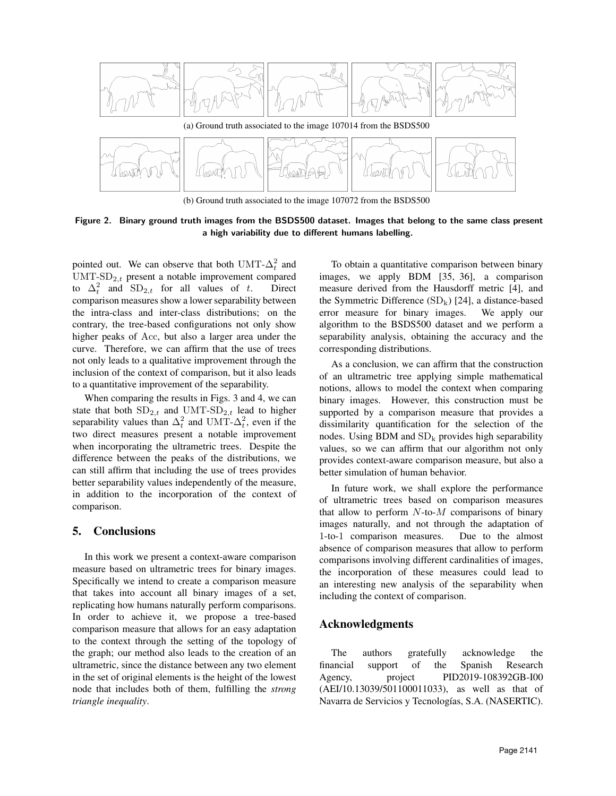

(b) Ground truth associated to the image 107072 from the BSDS500

Figure 2. Binary ground truth images from the BSDS500 dataset. Images that belong to the same class present a high variability due to different humans labelling.

pointed out. We can observe that both UMT- $\Delta_t^2$  and UMT-S $D_{2,t}$  present a notable improvement compared to  $\Delta_t^2$  and  $SD_{2,t}$  for all values of t. Direct comparison measures show a lower separability between the intra-class and inter-class distributions; on the contrary, the tree-based configurations not only show higher peaks of Acc, but also a larger area under the curve. Therefore, we can affirm that the use of trees not only leads to a qualitative improvement through the inclusion of the context of comparison, but it also leads to a quantitative improvement of the separability.

When comparing the results in Figs. 3 and 4, we can state that both  $SD_{2,t}$  and UMT-SD<sub>2,t</sub> lead to higher separability values than  $\Delta_t^2$  and UMT- $\Delta_t^2$ , even if the two direct measures present a notable improvement when incorporating the ultrametric trees. Despite the difference between the peaks of the distributions, we can still affirm that including the use of trees provides better separability values independently of the measure, in addition to the incorporation of the context of comparison.

# 5. Conclusions

In this work we present a context-aware comparison measure based on ultrametric trees for binary images. Specifically we intend to create a comparison measure that takes into account all binary images of a set, replicating how humans naturally perform comparisons. In order to achieve it, we propose a tree-based comparison measure that allows for an easy adaptation to the context through the setting of the topology of the graph; our method also leads to the creation of an ultrametric, since the distance between any two element in the set of original elements is the height of the lowest node that includes both of them, fulfilling the *strong triangle inequality*.

To obtain a quantitative comparison between binary images, we apply BDM [35, 36], a comparison measure derived from the Hausdorff metric [4], and the Symmetric Difference  $(SD_k)$  [24], a distance-based error measure for binary images. We apply our algorithm to the BSDS500 dataset and we perform a separability analysis, obtaining the accuracy and the corresponding distributions.

As a conclusion, we can affirm that the construction of an ultrametric tree applying simple mathematical notions, allows to model the context when comparing binary images. However, this construction must be supported by a comparison measure that provides a dissimilarity quantification for the selection of the nodes. Using BDM and  $SD_k$  provides high separability values, so we can affirm that our algorithm not only provides context-aware comparison measure, but also a better simulation of human behavior.

In future work, we shall explore the performance of ultrametric trees based on comparison measures that allow to perform  $N$ -to- $M$  comparisons of binary images naturally, and not through the adaptation of 1-to-1 comparison measures. Due to the almost absence of comparison measures that allow to perform comparisons involving different cardinalities of images, the incorporation of these measures could lead to an interesting new analysis of the separability when including the context of comparison.

## Acknowledgments

The authors gratefully acknowledge the financial support of the Spanish Research Agency, project PID2019-108392GB-I00 (AEI/10.13039/501100011033), as well as that of Navarra de Servicios y Tecnologías, S.A. (NASERTIC).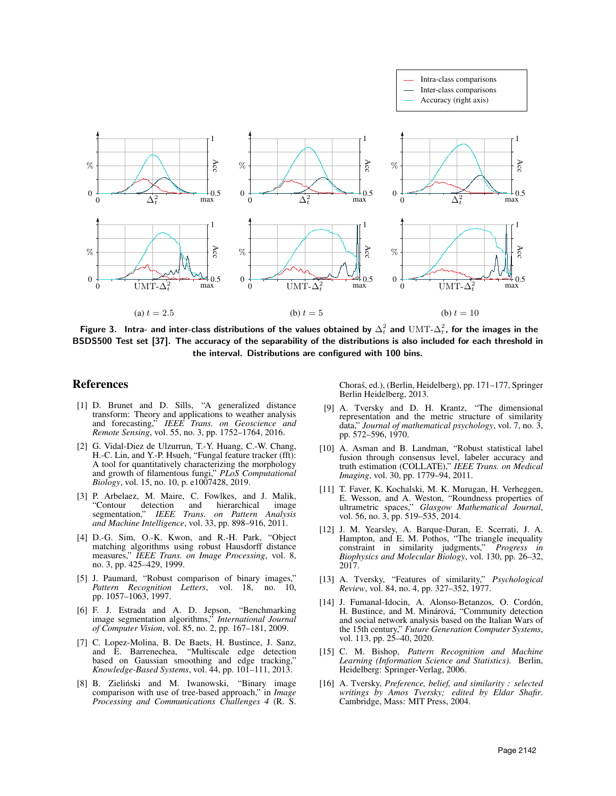

Figure 3. Intra- and inter-class distributions of the values obtained by  $\Delta_t^2$  and  $\mathrm{UMT}\text{-}\Delta_t^2$ , for the images in the BSDS500 Test set [37]. The accuracy of the separability of the distributions is also included for each threshold in the interval. Distributions are configured with 100 bins.

### References

- [1] D. Brunet and D. Sills, "A generalized distance transform: Theory and applications to weather analysis and forecasting," *IEEE Trans. on Geoscience and Remote Sensing*, vol. 55, no. 3, pp. 1752–1764, 2016.
- [2] G. Vidal-Diez de Ulzurrun, T.-Y. Huang, C.-W. Chang, H.-C. Lin, and Y.-P. Hsueh, "Fungal feature tracker (fft): A tool for quantitatively characterizing the morphology and growth of filamentous fungi," *PLoS Computational Biology*, vol. 15, no. 10, p. e1007428, 2019.
- [3] P. Arbelaez, M. Maire, C. Fowlkes, and J. Malik, "Contour detection and hierarchical image segmentation," *IEEE Trans. on Pattern Analysis and Machine Intelligence*, vol. 33, pp. 898–916, 2011.
- [4] D.-G. Sim, O.-K. Kwon, and R.-H. Park, "Object matching algorithms using robust Hausdorff distance measures," *IEEE Trans. on Image Processing*, vol. 8, no. 3, pp. 425–429, 1999.
- [5] J. Paumard, "Robust comparison of binary images," *Pattern Recognition Letters*, vol. 18, no. 10, pp. 1057–1063, 1997.
- [6] F. J. Estrada and A. D. Jepson, "Benchmarking image segmentation algorithms," *International Journal of Computer Vision*, vol. 85, no. 2, pp. 167–181, 2009.
- [7] C. Lopez-Molina, B. De Baets, H. Bustince, J. Sanz, and E. Barrenechea, "Multiscale edge detection based on Gaussian smoothing and edge tracking," *Knowledge-Based Systems*, vol. 44, pp. 101–111, 2013.
- [8] B. Zieliński and M. Iwanowski, "Binary image comparison with use of tree-based approach," in *Image Processing and Communications Challenges 4* (R. S.

Choras, ed.), (Berlin, Heidelberg), pp. 171–177, Springer ´ Berlin Heidelberg, 2013.

- [9] A. Tversky and D. H. Krantz, "The dimensional representation and the metric structure of similarity data," *Journal of mathematical psychology*, vol. 7, no. 3, pp. 572–596, 1970.
- [10] A. Asman and B. Landman, "Robust statistical label fusion through consensus level, labeler accuracy and truth estimation (COLLATE)," *IEEE Trans. on Medical Imaging*, vol. 30, pp. 1779–94, 2011.
- [11] T. Faver, K. Kochalski, M. K. Murugan, H. Verheggen, E. Wesson, and A. Weston, "Roundness properties of ultrametric spaces," *Glasgow Mathematical Journal*, vol. 56, no. 3, pp. 519–535, 2014.
- [12] J. M. Yearsley, A. Barque-Duran, E. Scerrati, J. A. Hampton, and E. M. Pothos, "The triangle inequality constraint in similarity judgments," *Progress in Biophysics and Molecular Biology*, vol. 130, pp. 26–32, 2017.
- [13] A. Tversky, "Features of similarity," *Psychological Review*, vol. 84, no. 4, pp. 327–352, 1977.
- [14] J. Fumanal-Idocin, A. Alonso-Betanzos, O. Cordón, H. Bustince, and M. Minárová, "Community detection and social network analysis based on the Italian Wars of the 15th century," *Future Generation Computer Systems*, vol. 113, pp. 25–40, 2020.
- [15] C. M. Bishop, *Pattern Recognition and Machine Learning (Information Science and Statistics)*. Berlin, Heidelberg: Springer-Verlag, 2006.
- [16] A. Tversky, *Preference, belief, and similarity : selected writings by Amos Tversky; edited by Eldar Shafir*. Cambridge, Mass: MIT Press, 2004.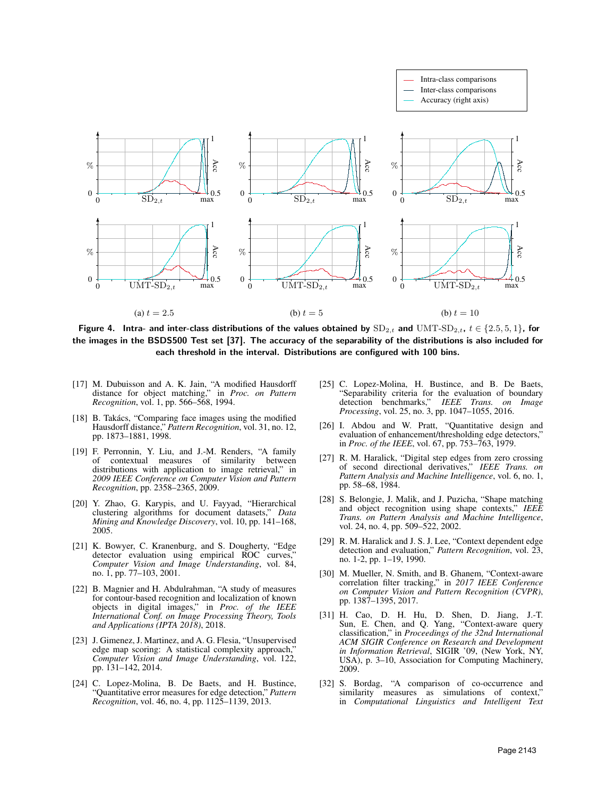

Figure 4. Intra- and inter-class distributions of the values obtained by  $SD_{2,t}$  and  $UMT-SD_{2,t}$ ,  $t \in \{2.5, 5, 1\}$ , for the images in the BSDS500 Test set [37]. The accuracy of the separability of the distributions is also included for each threshold in the interval. Distributions are configured with 100 bins.

- [17] M. Dubuisson and A. K. Jain, "A modified Hausdorff distance for object matching," in *Proc. on Pattern Recognition*, vol. 1, pp. 566–568, 1994.
- [18] B. Takács, "Comparing face images using the modified Hausdorff distance," *Pattern Recognition*, vol. 31, no. 12, pp. 1873–1881, 1998.
- [19] F. Perronnin, Y. Liu, and J.-M. Renders, "A family of contextual measures of similarity between distributions with application to image retrieval," in *2009 IEEE Conference on Computer Vision and Pattern Recognition*, pp. 2358–2365, 2009.
- [20] Y. Zhao, G. Karypis, and U. Fayyad, "Hierarchical clustering algorithms for document datasets," *Data Mining and Knowledge Discovery*, vol. 10, pp. 141–168, 2005.
- [21] K. Bowyer, C. Kranenburg, and S. Dougherty, "Edge detector evaluation using empirical ROC curves," *Computer Vision and Image Understanding*, vol. 84, no. 1, pp. 77–103, 2001.
- [22] B. Magnier and H. Abdulrahman, "A study of measures for contour-based recognition and localization of known objects in digital images," in *Proc. of the IEEE International Conf. on Image Processing Theory, Tools and Applications (IPTA 2018)*, 2018.
- [23] J. Gimenez, J. Martinez, and A. G. Flesia, "Unsupervised edge map scoring: A statistical complexity approach," *Computer Vision and Image Understanding*, vol. 122, pp. 131–142, 2014.
- [24] C. Lopez-Molina, B. De Baets, and H. Bustince, "Quantitative error measures for edge detection," *Pattern Recognition*, vol. 46, no. 4, pp. 1125–1139, 2013.
- [25] C. Lopez-Molina, H. Bustince, and B. De Baets, "Separability criteria for the evaluation of boundary detection benchmarks," *IEEE Trans. on Image Processing*, vol. 25, no. 3, pp. 1047–1055, 2016.
- [26] I. Abdou and W. Pratt, "Quantitative design and evaluation of enhancement/thresholding edge detectors," in *Proc. of the IEEE*, vol. 67, pp. 753–763, 1979.
- [27] R. M. Haralick, "Digital step edges from zero crossing of second directional derivatives," *IEEE Trans. on Pattern Analysis and Machine Intelligence*, vol. 6, no. 1, pp. 58–68, 1984.
- [28] S. Belongie, J. Malik, and J. Puzicha, "Shape matching and object recognition using shape contexts," *IEEE Trans. on Pattern Analysis and Machine Intelligence*, vol. 24, no. 4, pp. 509–522, 2002.
- [29] R. M. Haralick and J. S. J. Lee, "Context dependent edge detection and evaluation," *Pattern Recognition*, vol. 23, no. 1-2, pp. 1–19, 1990.
- [30] M. Mueller, N. Smith, and B. Ghanem, "Context-aware correlation filter tracking," in *2017 IEEE Conference on Computer Vision and Pattern Recognition (CVPR)*, pp. 1387–1395, 2017.
- [31] H. Cao, D. H. Hu, D. Shen, D. Jiang, J.-T. Sun, E. Chen, and Q. Yang, "Context-aware query classification," in *Proceedings of the 32nd International ACM SIGIR Conference on Research and Development in Information Retrieval*, SIGIR '09, (New York, NY, USA), p. 3–10, Association for Computing Machinery, 2009.
- [32] S. Bordag, "A comparison of co-occurrence and similarity measures as simulations of context," in *Computational Linguistics and Intelligent Text*